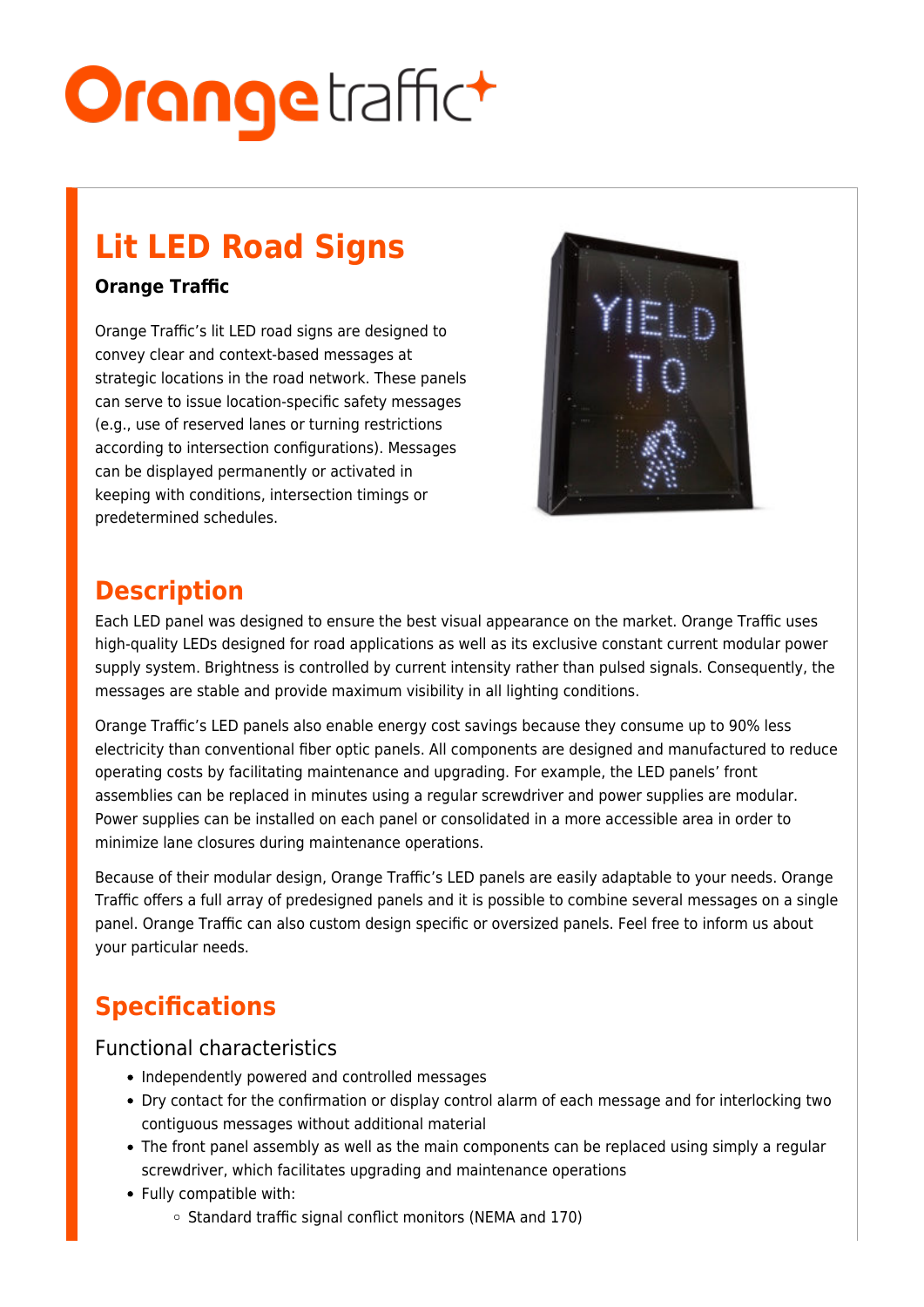# **Orange**traffict

# **Lit LED Road Signs**

#### **Orange Traffic**

Orange Traffic's lit LED road signs are designed to convey clear and context-based messages at strategic locations in the road network. These panels can serve to issue location-specific safety messages (e.g., use of reserved lanes or turning restrictions according to intersection configurations). Messages can be displayed permanently or activated in keeping with conditions, intersection timings or predetermined schedules.



### **Description**

Each LED panel was designed to ensure the best visual appearance on the market. Orange Traffic uses high-quality LEDs designed for road applications as well as its exclusive constant current modular power supply system. Brightness is controlled by current intensity rather than pulsed signals. Consequently, the messages are stable and provide maximum visibility in all lighting conditions.

Orange Traffic's LED panels also enable energy cost savings because they consume up to 90% less electricity than conventional fiber optic panels. All components are designed and manufactured to reduce operating costs by facilitating maintenance and upgrading. For example, the LED panels' front assemblies can be replaced in minutes using a regular screwdriver and power supplies are modular. Power supplies can be installed on each panel or consolidated in a more accessible area in order to minimize lane closures during maintenance operations.

Because of their modular design, Orange Traffic's LED panels are easily adaptable to your needs. Orange Traffic offers a full array of predesigned panels and it is possible to combine several messages on a single panel. Orange Traffic can also custom design specific or oversized panels. Feel free to inform us about your particular needs.

## **Specifications**

#### Functional characteristics

- Independently powered and controlled messages
- Dry contact for the confirmation or display control alarm of each message and for interlocking two contiguous messages without additional material
- The front panel assembly as well as the main components can be replaced using simply a regular screwdriver, which facilitates upgrading and maintenance operations
- Fully compatible with:
	- $\circ$  Standard traffic signal conflict monitors (NEMA and 170)